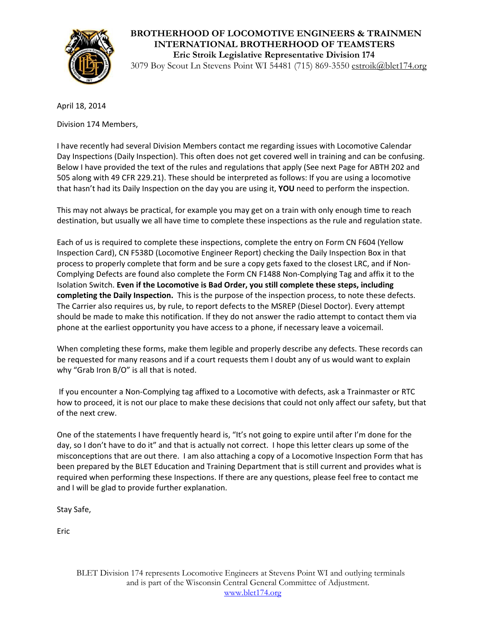

# **BROTHERHOOD OF LOCOMOTIVE ENGINEERS & TRAINMEN INTERNATIONAL BROTHERHOOD OF TEAMSTERS Eric Stroik Legislative Representative Division 174**

3079 Boy Scout Ln Stevens Point WI 54481 (715) 869-3550 estroik@blet174.org

April 18, 2014

Division 174 Members,

I have recently had several Division Members contact me regarding issues with Locomotive Calendar Day Inspections (Daily Inspection). This often does not get covered well in training and can be confusing. Below I have provided the text of the rules and regulations that apply (See next Page for ABTH 202 and 505 along with 49 CFR 229.21). These should be interpreted as follows: If you are using a locomotive that hasn't had its Daily Inspection on the day you are using it, **YOU** need to perform the inspection.

This may not always be practical, for example you may get on a train with only enough time to reach destination, but usually we all have time to complete these inspections as the rule and regulation state.

Each of us is required to complete these inspections, complete the entry on Form CN F604 (Yellow Inspection Card), CN F538D (Locomotive Engineer Report) checking the Daily Inspection Box in that process to properly complete that form and be sure a copy gets faxed to the closest LRC, and if Non‐ Complying Defects are found also complete the Form CN F1488 Non‐Complying Tag and affix it to the Isolation Switch. **Even if the Locomotive is Bad Order, you still complete these steps, including completing the Daily Inspection.** This is the purpose of the inspection process, to note these defects. The Carrier also requires us, by rule, to report defects to the MSREP (Diesel Doctor). Every attempt should be made to make this notification. If they do not answer the radio attempt to contact them via phone at the earliest opportunity you have access to a phone, if necessary leave a voicemail.

When completing these forms, make them legible and properly describe any defects. These records can be requested for many reasons and if a court requests them I doubt any of us would want to explain why "Grab Iron B/O" is all that is noted.

If you encounter a Non‐Complying tag affixed to a Locomotive with defects, ask a Trainmaster or RTC how to proceed, it is not our place to make these decisions that could not only affect our safety, but that of the next crew.

One of the statements I have frequently heard is, "It's not going to expire until after I'm done for the day, so I don't have to do it" and that is actually not correct. I hope this letter clears up some of the misconceptions that are out there. I am also attaching a copy of a Locomotive Inspection Form that has been prepared by the BLET Education and Training Department that is still current and provides what is required when performing these Inspections. If there are any questions, please feel free to contact me and I will be glad to provide further explanation.

Stay Safe,

Eric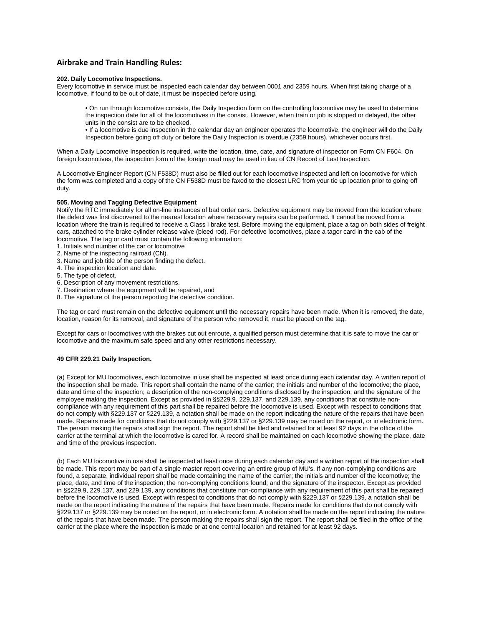## **Airbrake and Train Handling Rules:**

#### **202. Daily Locomotive Inspections.**

Every locomotive in service must be inspected each calendar day between 0001 and 2359 hours. When first taking charge of a locomotive, if found to be out of date, it must be inspected before using.

• On run through locomotive consists, the Daily Inspection form on the controlling locomotive may be used to determine the inspection date for all of the locomotives in the consist. However, when train or job is stopped or delayed, the other units in the consist are to be checked.

• If a locomotive is due inspection in the calendar day an engineer operates the locomotive, the engineer will do the Daily Inspection before going off duty or before the Daily Inspection is overdue (2359 hours), whichever occurs first.

When a Daily Locomotive Inspection is required, write the location, time, date, and signature of inspector on Form CN F604. On foreign locomotives, the inspection form of the foreign road may be used in lieu of CN Record of Last Inspection.

A Locomotive Engineer Report (CN F538D) must also be filled out for each locomotive inspected and left on locomotive for which the form was completed and a copy of the CN F538D must be faxed to the closest LRC from your tie up location prior to going off duty.

#### **505. Moving and Tagging Defective Equipment**

Notify the RTC immediately for all on-line instances of bad order cars. Defective equipment may be moved from the location where the defect was first discovered to the nearest location where necessary repairs can be performed. It cannot be moved from a location where the train is required to receive a Class I brake test. Before moving the equipment, place a tag on both sides of freight cars, attached to the brake cylinder release valve (bleed rod). For defective locomotives, place a tagor card in the cab of the locomotive. The tag or card must contain the following information:

- 1. Initials and number of the car or locomotive
- 2. Name of the inspecting railroad (CN).
- 3. Name and job title of the person finding the defect.
- 4. The inspection location and date.
- 5. The type of defect.
- 6. Description of any movement restrictions.
- 7. Destination where the equipment will be repaired, and
- 8. The signature of the person reporting the defective condition.

The tag or card must remain on the defective equipment until the necessary repairs have been made. When it is removed, the date, location, reason for its removal, and signature of the person who removed it, must be placed on the tag.

Except for cars or locomotives with the brakes cut out enroute, a qualified person must determine that it is safe to move the car or locomotive and the maximum safe speed and any other restrictions necessary.

### **49 CFR 229.21 Daily Inspection.**

(a) Except for MU locomotives, each locomotive in use shall be inspected at least once during each calendar day. A written report of the inspection shall be made. This report shall contain the name of the carrier; the initials and number of the locomotive; the place, date and time of the inspection; a description of the non-complying conditions disclosed by the inspection; and the signature of the employee making the inspection. Except as provided in §§229.9, 229.137, and 229.139, any conditions that constitute noncompliance with any requirement of this part shall be repaired before the locomotive is used. Except with respect to conditions that do not comply with §229.137 or §229.139, a notation shall be made on the report indicating the nature of the repairs that have been made. Repairs made for conditions that do not comply with §229.137 or §229.139 may be noted on the report, or in electronic form. The person making the repairs shall sign the report. The report shall be filed and retained for at least 92 days in the office of the carrier at the terminal at which the locomotive is cared for. A record shall be maintained on each locomotive showing the place, date and time of the previous inspection.

(b) Each MU locomotive in use shall be inspected at least once during each calendar day and a written report of the inspection shall be made. This report may be part of a single master report covering an entire group of MU's. If any non-complying conditions are found, a separate, individual report shall be made containing the name of the carrier; the initials and number of the locomotive; the place, date, and time of the inspection; the non-complying conditions found; and the signature of the inspector. Except as provided in §§229.9, 229.137, and 229.139, any conditions that constitute non-compliance with any requirement of this part shall be repaired before the locomotive is used. Except with respect to conditions that do not comply with §229.137 or §229.139, a notation shall be made on the report indicating the nature of the repairs that have been made. Repairs made for conditions that do not comply with §229.137 or §229.139 may be noted on the report, or in electronic form. A notation shall be made on the report indicating the nature of the repairs that have been made. The person making the repairs shall sign the report. The report shall be filed in the office of the carrier at the place where the inspection is made or at one central location and retained for at least 92 days.